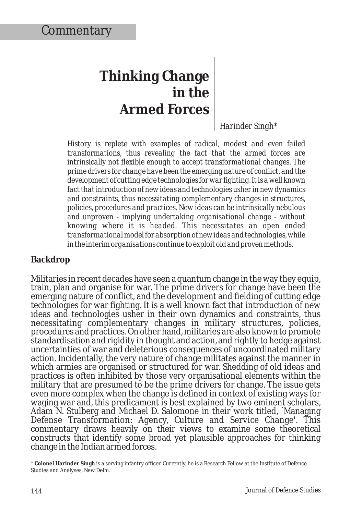## **Thinking Change in the Armed Forces**

*Harinder Singh\**

*History is replete with examples of radical, modest and even failed transformations, thus revealing the fact that the armed forces are intrinsically not flexible enough to accept transformational changes. The prime drivers for change have been the emerging nature of conflict, and the development of cutting edge technologies for war fighting. It is a well known fact that introduction of new ideas and technologies usher in new dynamics and constraints, thus necessitating complementary changes in structures, policies, procedures and practices. New ideas can be intrinsically nebulous and unproven - implying undertaking organisational change - without knowing where it is headed. This necessitates an open ended transformational model for absorption of new ideas and technologies, while in the interim organisations continue to exploit old and proven methods.*

## **Backdrop**

Militaries in recent decades have seen a quantum change in the way they equip, train, plan and organise for war. The prime drivers for change have been the emerging nature of conflict, and the development and fielding of cutting edge technologies for war fighting. It is a well known fact that introduction of new ideas and technologies usher in their own dynamics and constraints, thus necessitating complementary changes in military structures, policies, procedures and practices. On other hand, militaries are also known to promote standardisation and rigidity in thought and action, and rightly to hedge against uncertainties of war and deleterious consequences of uncoordinated military action. Incidentally, the very nature of change militates against the manner in which armies are organised or structured for war. Shedding of old ideas and practices is often inhibited by those very organisational elements within the military that are presumed to be the prime drivers for change. The issue gets even more complex when the change is defined in context of existing ways for waging war and, this predicament is best explained by two eminent scholars, Adam N. Stulberg and Michael D. Salomone in their work titled, `Managing Defense Transformation: Agency, Culture and Service Change'. This commentary draws heavily on their views to examine some theoretical constructs that identify some broad yet plausible approaches for thinking change in the Indian armed forces.

<sup>\*</sup> **Colonel Harinder Singh** is a serving infantry officer. Currently, he is a Research Fellow at the Institute of Defence Studies and Analyses, New Delhi.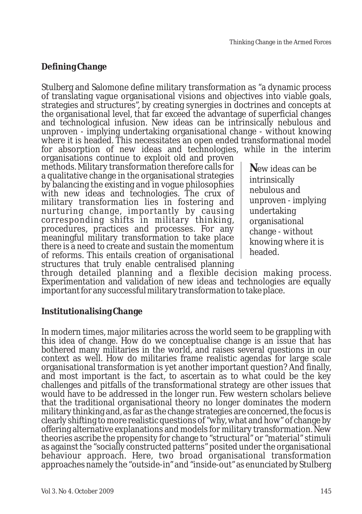## **Defining Change**

Stulberg and Salomone define military transformation as "a dynamic process of translating vague organisational visions and objectives into viable goals, strategies and structures", by creating synergies in doctrines and concepts at the organisational level, that far exceed the advantage of superficial changes and technological infusion. New ideas can be intrinsically nebulous and unproven - implying undertaking organisational change - without knowing where it is headed. This necessitates an open ended transformational model for absorption of new ideas and technologies, while in the interim

organisations continue to exploit old and proven methods. Military transformation therefore calls for a qualitative change in the organisational strategies by balancing the existing and in vogue philosophies with new ideas and technologies. The crux of military transformation lies in fostering and nurturing change, importantly by causing corresponding shifts in military thinking, procedures, practices and processes. For any meaningful military transformation to take place there is a need to create and sustain the momentum of reforms. This entails creation of organisational structures that truly enable centralised planning

**N**ew ideas can be intrinsically nebulous and unproven - implying undertaking organisational change - without knowing where it is headed.

through detailed planning and a flexible decision making process. Experimentation and validation of new ideas and technologies are equally important for any successful military transformation to take place.

**Institutionalising Change**

In modern times, major militaries across the world seem to be grappling with this idea of change. How do we conceptualise change is an issue that has bothered many militaries in the world, and raises several questions in our context as well. How do militaries frame realistic agendas for large scale organisational transformation is yet another important question? And finally, and most important is the fact, to ascertain as to what could be the key challenges and pitfalls of the transformational strategy are other issues that would have to be addressed in the longer run. Few western scholars believe that the traditional organisational theory no longer dominates the modern military thinking and, as far as the change strategies are concerned, the focus is clearly shifting to more realistic questions of "why, what and how" of change by offering alternative explanations and models for military transformation. New theories ascribe the propensity for change to "structural" or "material" stimuli as against the "socially constructed patterns" posited under the organisational behaviour approach. Here, two broad organisational transformation approaches namely the "outside-in" and "inside-out" as enunciated by Stulberg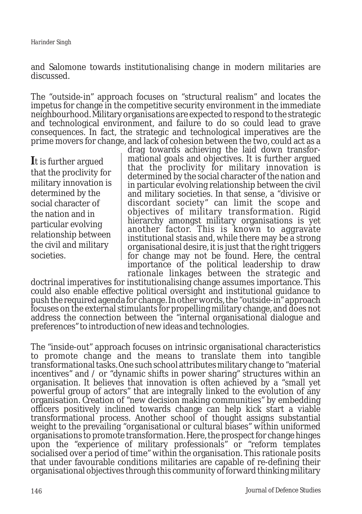and Salomone towards institutionalising change in modern militaries are discussed.

The "outside-in" approach focuses on "structural realism" and locates the impetus for change in the competitive security environment in the immediate neighbourhood. Military organisations are expected to respond to the strategic and technological environment, and failure to do so could lead to grave consequences. In fact, the strategic and technological imperatives are the prime movers for change, and lack of cohesion between the two, could act as a

**I**t is further argued that the proclivity for military innovation is determined by the social character of the nation and in particular evolving relationship between the civil and military societies.

drag towards achieving the laid down transformational goals and objectives. It is further argued that the proclivity for military innovation is determined by the social character of the nation and in particular evolving relationship between the civil and military societies. In that sense, a "divisive or discordant society" can limit the scope and objectives of military transformation. Rigid hierarchy amongst military organisations is yet another factor. This is known to aggravate institutional stasis and, while there may be a strong organisational desire, it is just that the right triggers for change may not be found. Here, the central importance of the political leadership to draw rationale linkages between the strategic and

doctrinal imperatives for institutionalising change assumes importance. This could also enable effective political oversight and institutional guidance to push the required agenda for change. In other words, the "outside-in" approach focuses on the external stimulants for propelling military change, and does not address the connection between the "internal organisational dialogue and preferences" to introduction of new ideas and technologies.

The "inside-out" approach focuses on intrinsic organisational characteristics to promote change and the means to translate them into tangible transformational tasks. One such school attributes military change to "material incentives" and / or "dynamic shifts in power sharing" structures within an organisation. It believes that innovation is often achieved by a "small yet powerful group of actors" that are integrally linked to the evolution of any organisation. Creation of "new decision making communities" by embedding officers positively inclined towards change can help kick start a viable transformational process. Another school of thought assigns substantial weight to the prevailing "organisational or cultural biases" within uniformed organisations to promote transformation. Here, the prospect for change hinges upon the "experience of military professionals" or "reform templates socialised over a period of time" within the organisation. This rationale posits that under favourable conditions militaries are capable of re-defining their organisational objectives through this community of forward thinking military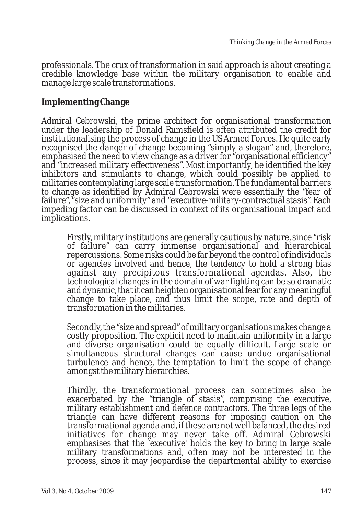professionals. The crux of transformation in said approach is about creating a credible knowledge base within the military organisation to enable and manage large scale transformations.

**Implementing Change**

Admiral Cebrowski, the prime architect for organisational transformation under the leadership of Donald Rumsfield is often attributed the credit for institutionalising the process of change in the US Armed Forces. He quite early recognised the danger of change becoming "simply a slogan" and, therefore, emphasised the need to view change as a driver for "organisational efficiency" and "increased military effectiveness". Most importantly, he identified the key inhibitors and stimulants to change, which could possibly be applied to militaries contemplating large scale transformation. The fundamental barriers to change as identified by Admiral Cebrowski were essentially the "fear of failure", "size and uniformity" and "executive-military-contractual stasis". Each impeding factor can be discussed in context of its organisational impact and implications.

Firstly, military institutions are generally cautious by nature, since "risk of failure" can carry immense organisational and hierarchical repercussions. Some risks could be far beyond the control of individuals or agencies involved and hence, the tendency to hold a strong bias against any precipitous transformational agendas. Also, the technological changes in the domain of war fighting can be so dramatic and dynamic, that it can heighten organisational fear for any meaningful change to take place, and thus limit the scope, rate and depth of transformation in the militaries.

Secondly, the "size and spread" of military organisations makes change a costly proposition. The explicit need to maintain uniformity in a large and diverse organisation could be equally difficult. Large scale or simultaneous structural changes can cause undue organisational turbulence and hence, the temptation to limit the scope of change amongst the military hierarchies.

Thirdly, the transformational process can sometimes also be exacerbated by the "triangle of stasis", comprising the executive, military establishment and defence contractors. The three legs of the triangle can have different reasons for imposing caution on the transformational agenda and, if these are not well balanced, the desired initiatives for change may never take off. Admiral Cebrowski emphasises that the `executive' holds the key to bring in large scale military transformations and, often may not be interested in the process, since it may jeopardise the departmental ability to exercise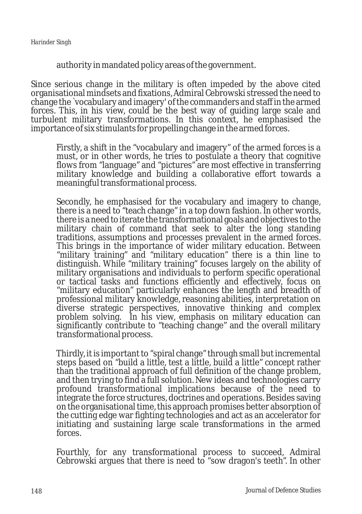authority in mandated policy areas of the government.

Since serious change in the military is often impeded by the above cited organisational mindsets and fixations, Admiral Cebrowski stressed the need to change the `vocabulary and imagery' of the commanders and staff in the armed forces. This, in his view, could be the best way of guiding large scale and turbulent military transformations. In this context, he emphasised the importance of six stimulants for propelling change in the armed forces.

Firstly, a shift in the "vocabulary and imagery" of the armed forces is a must, or in other words, he tries to postulate a theory that cognitive flows from "language" and "pictures" are most effective in transferring military knowledge and building a collaborative effort towards a meaningful transformational process.

Secondly, he emphasised for the vocabulary and imagery to change, there is a need to "teach change" in a top down fashion. In other words, there is a need to iterate the transformational goals and objectives to the military chain of command that seek to alter the long standing traditions, assumptions and processes prevalent in the armed forces. This brings in the importance of wider military education. Between "military training" and "military education" there is a thin line to distinguish. While "military training" focuses largely on the ability of military organisations and individuals to perform specific operational or tactical tasks and functions efficiently and effectively, focus on "military education" particularly enhances the length and breadth of professional military knowledge, reasoning abilities, interpretation on diverse strategic perspectives, innovative thinking and complex problem solving. In his view, emphasis on military education can significantly contribute to "teaching change" and the overall military transformational process.

Thirdly, it is important to "spiral change" through small but incremental steps based on "build a little, test a little, build a little" concept rather than the traditional approach of full definition of the change problem, and then trying to find a full solution. New ideas and technologies carry profound transformational implications because of the need to integrate the force structures, doctrines and operations. Besides saving on the organisational time, this approach promises better absorption of the cutting edge war fighting technologies and act as an accelerator for initiating and sustaining large scale transformations in the armed forces.

Fourthly, for any transformational process to succeed, Admiral Cebrowski argues that there is need to "sow dragon's teeth". In other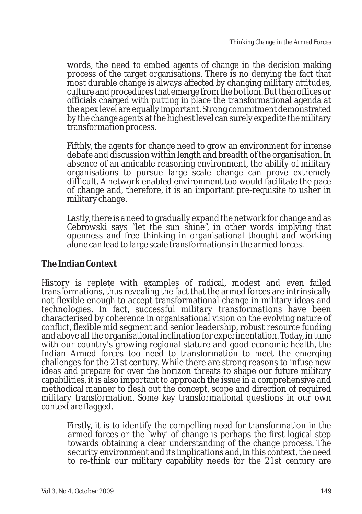words, the need to embed agents of change in the decision making process of the target organisations. There is no denying the fact that most durable change is always affected by changing military attitudes, culture and procedures that emerge from the bottom. But then offices or officials charged with putting in place the transformational agenda at the apex level are equally important. Strong commitment demonstrated by the change agents at the highest level can surely expedite the military transformation process.

Fifthly, the agents for change need to grow an environment for intense debate and discussion within length and breadth of the organisation. In absence of an amicable reasoning environment, the ability of military organisations to pursue large scale change can prove extremely difficult. A network enabled environment too would facilitate the pace of change and, therefore, it is an important pre-requisite to usher in military change.

Lastly, there is a need to gradually expand the network for change and as Cebrowski says "let the sun shine", in other words implying that openness and free thinking in organisational thought and working alone can lead to large scale transformations in the armed forces.

## **The Indian Context**

History is replete with examples of radical, modest and even failed transformations, thus revealing the fact that the armed forces are intrinsically not flexible enough to accept transformational change in military ideas and technologies. In fact, successful military transformations have been characterised by coherence in organisational vision on the evolving nature of conflict, flexible mid segment and senior leadership, robust resource funding and above all the organisational inclination for experimentation. Today, in tune with our country's growing regional stature and good economic health, the Indian Armed forces too need to transformation to meet the emerging challenges for the 21st century. While there are strong reasons to infuse new ideas and prepare for over the horizon threats to shape our future military capabilities, it is also important to approach the issue in a comprehensive and methodical manner to flesh out the concept, scope and direction of required military transformation. Some key transformational questions in our own context are flagged.

Firstly, it is to identify the compelling need for transformation in the armed forces or the `why' of change is perhaps the first logical step towards obtaining a clear understanding of the change process. The security environment and its implications and, in this context, the need to re-think our military capability needs for the 21st century are